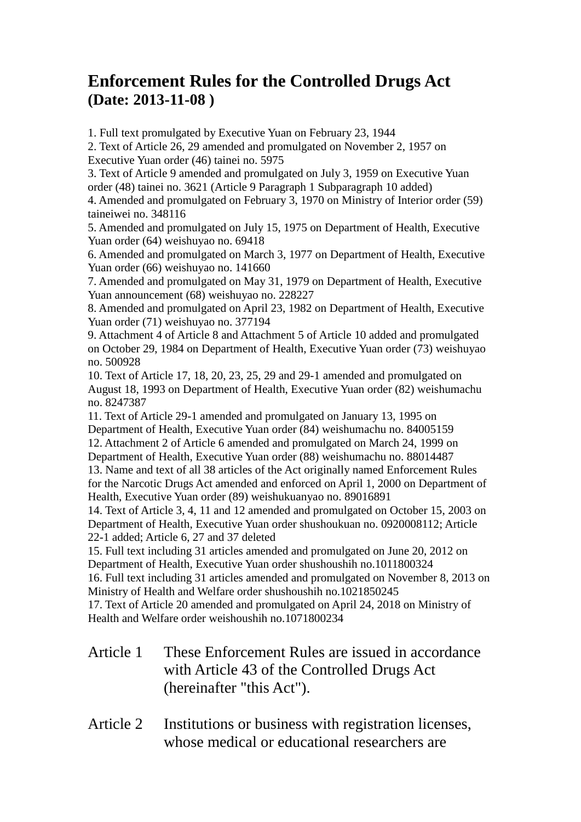## **Enforcement Rules for the Controlled Drugs Act (Date: 2013-11-08 )**

1. Full text promulgated by Executive Yuan on February 23, 1944

2. Text of Article 26, 29 amended and promulgated on November 2, 1957 on Executive Yuan order (46) tainei no. 5975

3. Text of Article 9 amended and promulgated on July 3, 1959 on Executive Yuan order (48) tainei no. 3621 (Article 9 Paragraph 1 Subparagraph 10 added)

4. Amended and promulgated on February 3, 1970 on Ministry of Interior order (59) taineiwei no. 348116

5. Amended and promulgated on July 15, 1975 on Department of Health, Executive Yuan order (64) weishuyao no. 69418

6. Amended and promulgated on March 3, 1977 on Department of Health, Executive Yuan order (66) weishuyao no. 141660

7. Amended and promulgated on May 31, 1979 on Department of Health, Executive Yuan announcement (68) weishuyao no. 228227

8. Amended and promulgated on April 23, 1982 on Department of Health, Executive Yuan order (71) weishuyao no. 377194

9. Attachment 4 of Article 8 and Attachment 5 of Article 10 added and promulgated on October 29, 1984 on Department of Health, Executive Yuan order (73) weishuyao no. 500928

10. Text of Article 17, 18, 20, 23, 25, 29 and 29-1 amended and promulgated on August 18, 1993 on Department of Health, Executive Yuan order (82) weishumachu no. 8247387

11. Text of Article 29-1 amended and promulgated on January 13, 1995 on Department of Health, Executive Yuan order (84) weishumachu no. 84005159 12. Attachment 2 of Article 6 amended and promulgated on March 24, 1999 on Department of Health, Executive Yuan order (88) weishumachu no. 88014487

13. Name and text of all 38 articles of the Act originally named Enforcement Rules for the Narcotic Drugs Act amended and enforced on April 1, 2000 on Department of Health, Executive Yuan order (89) weishukuanyao no. 89016891

14. Text of Article 3, 4, 11 and 12 amended and promulgated on October 15, 2003 on Department of Health, Executive Yuan order shushoukuan no. 0920008112; Article 22-1 added; Article 6, 27 and 37 deleted

15. Full text including 31 articles amended and promulgated on June 20, 2012 on Department of Health, Executive Yuan order shushoushih no.1011800324

16. Full text including 31 articles amended and promulgated on November 8, 2013 on Ministry of Health and Welfare order shushoushih no.1021850245

17. Text of Article 20 amended and promulgated on April 24, 2018 on Ministry of Health and Welfare order weishoushih no.1071800234

Article 1 These Enforcement Rules are issued in accordance with Article 43 of the Controlled Drugs Act (hereinafter "this Act").

## Article 2 Institutions or business with registration licenses, whose medical or educational researchers are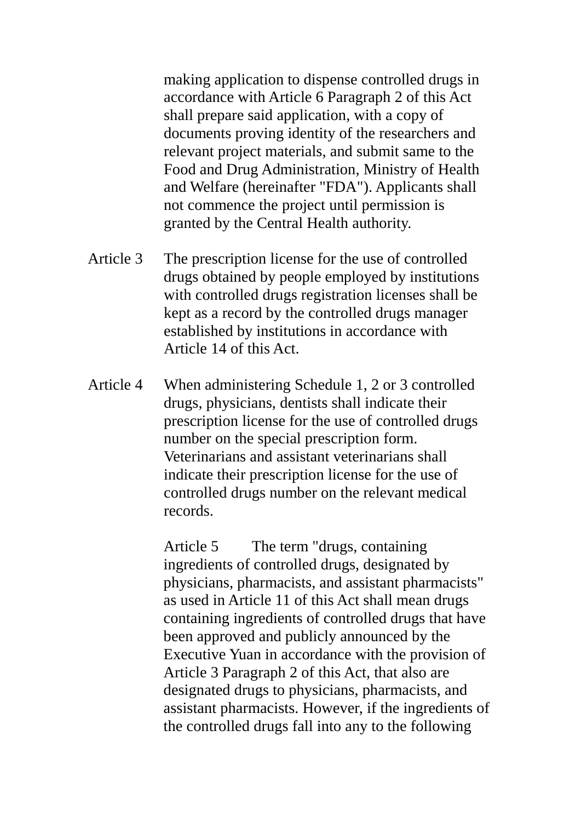making application to dispense controlled drugs in accordance with Article 6 Paragraph 2 of this Act shall prepare said application, with a copy of documents proving identity of the researchers and relevant project materials, and submit same to the Food and Drug Administration, Ministry of Health and Welfare (hereinafter "FDA"). Applicants shall not commence the project until permission is granted by the Central Health authority.

- Article 3 The prescription license for the use of controlled drugs obtained by people employed by institutions with controlled drugs registration licenses shall be kept as a record by the controlled drugs manager established by institutions in accordance with Article 14 of this Act.
- Article 4 When administering Schedule 1, 2 or 3 controlled drugs, physicians, dentists shall indicate their prescription license for the use of controlled drugs number on the special prescription form. Veterinarians and assistant veterinarians shall indicate their prescription license for the use of controlled drugs number on the relevant medical records.

Article 5 The term "drugs, containing ingredients of controlled drugs, designated by physicians, pharmacists, and assistant pharmacists" as used in Article 11 of this Act shall mean drugs containing ingredients of controlled drugs that have been approved and publicly announced by the Executive Yuan in accordance with the provision of Article 3 Paragraph 2 of this Act, that also are designated drugs to physicians, pharmacists, and assistant pharmacists. However, if the ingredients of the controlled drugs fall into any to the following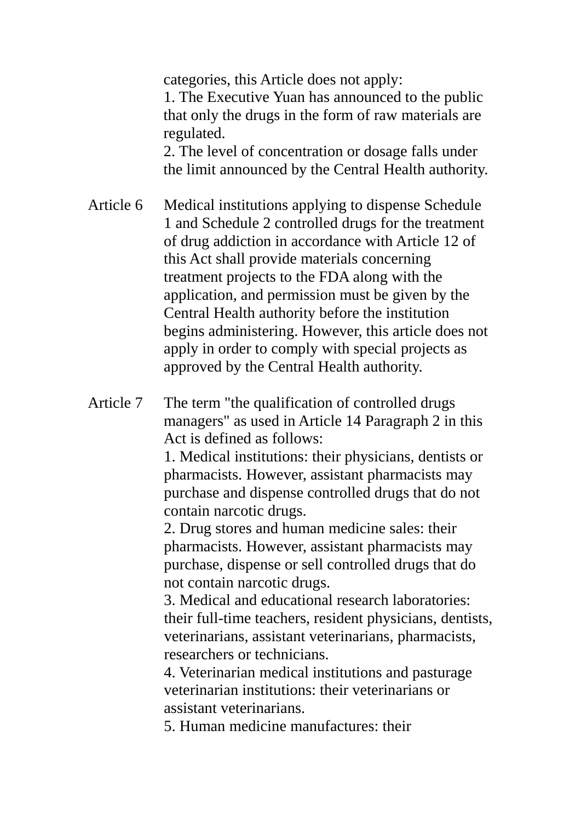categories, this Article does not apply:

1. The Executive Yuan has announced to the public that only the drugs in the form of raw materials are regulated.

2. The level of concentration or dosage falls under the limit announced by the Central Health authority.

- Article 6 Medical institutions applying to dispense Schedule 1 and Schedule 2 controlled drugs for the treatment of drug addiction in accordance with Article 12 of this Act shall provide materials concerning treatment projects to the FDA along with the application, and permission must be given by the Central Health authority before the institution begins administering. However, this article does not apply in order to comply with special projects as approved by the Central Health authority.
- Article 7 The term "the qualification of controlled drugs managers" as used in Article 14 Paragraph 2 in this Act is defined as follows:

1. Medical institutions: their physicians, dentists or pharmacists. However, assistant pharmacists may purchase and dispense controlled drugs that do not contain narcotic drugs.

2. Drug stores and human medicine sales: their pharmacists. However, assistant pharmacists may purchase, dispense or sell controlled drugs that do not contain narcotic drugs.

3. Medical and educational research laboratories: their full-time teachers, resident physicians, dentists, veterinarians, assistant veterinarians, pharmacists, researchers or technicians.

4. Veterinarian medical institutions and pasturage veterinarian institutions: their veterinarians or assistant veterinarians.

5. Human medicine manufactures: their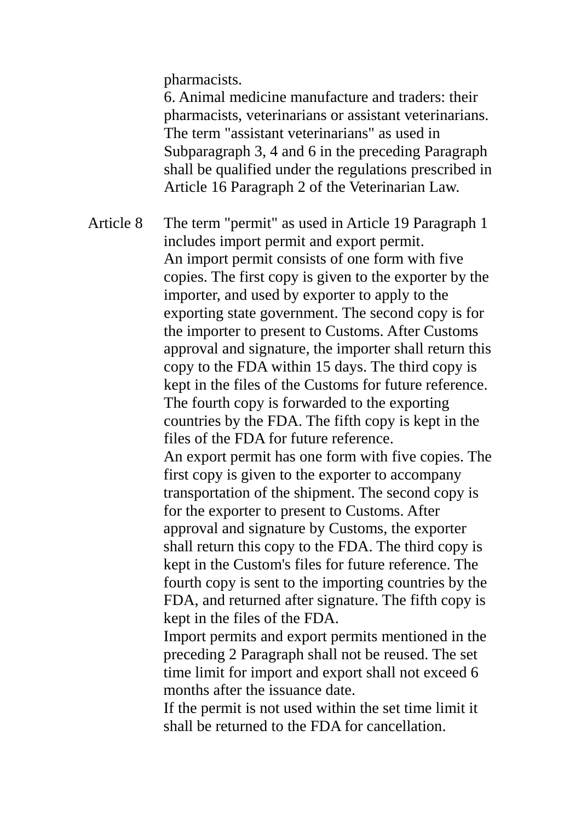pharmacists.

6. Animal medicine manufacture and traders: their pharmacists, veterinarians or assistant veterinarians. The term "assistant veterinarians" as used in Subparagraph 3, 4 and 6 in the preceding Paragraph shall be qualified under the regulations prescribed in Article 16 Paragraph 2 of the Veterinarian Law.

Article 8 The term "permit" as used in Article 19 Paragraph 1 includes import permit and export permit. An import permit consists of one form with five copies. The first copy is given to the exporter by the importer, and used by exporter to apply to the exporting state government. The second copy is for the importer to present to Customs. After Customs approval and signature, the importer shall return this copy to the FDA within 15 days. The third copy is kept in the files of the Customs for future reference. The fourth copy is forwarded to the exporting countries by the FDA. The fifth copy is kept in the files of the FDA for future reference. An export permit has one form with five copies. The first copy is given to the exporter to accompany transportation of the shipment. The second copy is for the exporter to present to Customs. After approval and signature by Customs, the exporter shall return this copy to the FDA. The third copy is kept in the Custom's files for future reference. The fourth copy is sent to the importing countries by the FDA, and returned after signature. The fifth copy is kept in the files of the FDA.

Import permits and export permits mentioned in the preceding 2 Paragraph shall not be reused. The set time limit for import and export shall not exceed 6 months after the issuance date.

If the permit is not used within the set time limit it shall be returned to the FDA for cancellation.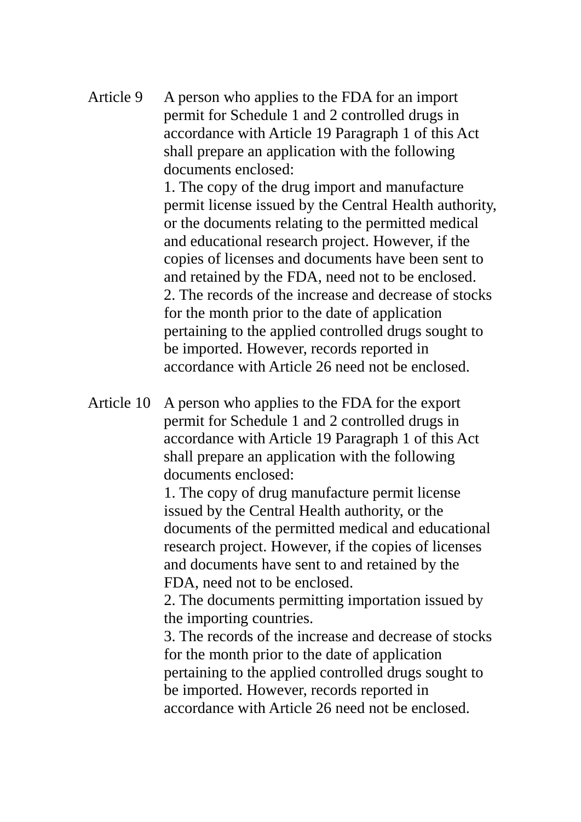Article 9 A person who applies to the FDA for an import permit for Schedule 1 and 2 controlled drugs in accordance with Article 19 Paragraph 1 of this Act shall prepare an application with the following documents enclosed:

> 1. The copy of the drug import and manufacture permit license issued by the Central Health authority, or the documents relating to the permitted medical and educational research project. However, if the copies of licenses and documents have been sent to and retained by the FDA, need not to be enclosed. 2. The records of the increase and decrease of stocks for the month prior to the date of application pertaining to the applied controlled drugs sought to be imported. However, records reported in accordance with Article 26 need not be enclosed.

Article 10 A person who applies to the FDA for the export permit for Schedule 1 and 2 controlled drugs in accordance with Article 19 Paragraph 1 of this Act shall prepare an application with the following documents enclosed:

> 1. The copy of drug manufacture permit license issued by the Central Health authority, or the documents of the permitted medical and educational research project. However, if the copies of licenses and documents have sent to and retained by the FDA, need not to be enclosed.

2. The documents permitting importation issued by the importing countries.

3. The records of the increase and decrease of stocks for the month prior to the date of application pertaining to the applied controlled drugs sought to be imported. However, records reported in accordance with Article 26 need not be enclosed.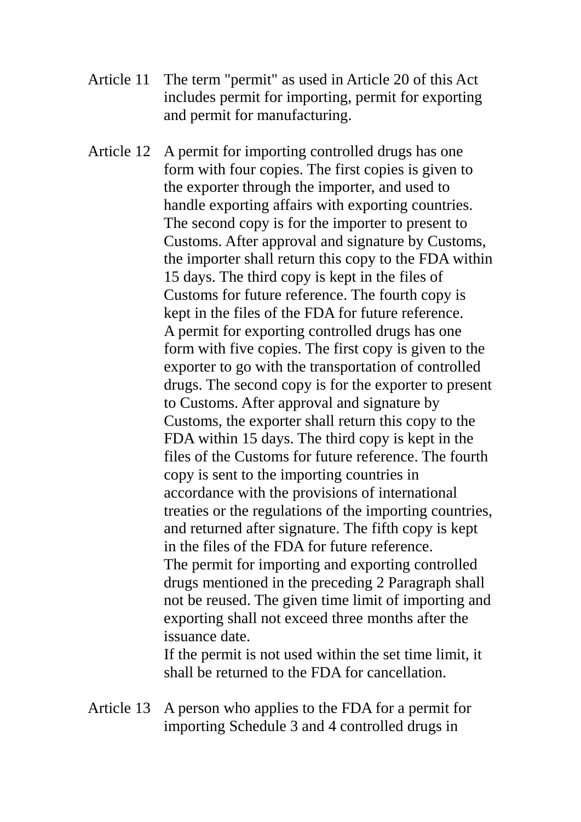- Article 11 The term "permit" as used in Article 20 of this Act includes permit for importing, permit for exporting and permit for manufacturing.
- Article 12 A permit for importing controlled drugs has one form with four copies. The first copies is given to the exporter through the importer, and used to handle exporting affairs with exporting countries. The second copy is for the importer to present to Customs. After approval and signature by Customs, the importer shall return this copy to the FDA within 15 days. The third copy is kept in the files of Customs for future reference. The fourth copy is kept in the files of the FDA for future reference. A permit for exporting controlled drugs has one form with five copies. The first copy is given to the exporter to go with the transportation of controlled drugs. The second copy is for the exporter to present to Customs. After approval and signature by Customs, the exporter shall return this copy to the FDA within 15 days. The third copy is kept in the files of the Customs for future reference. The fourth copy is sent to the importing countries in accordance with the provisions of international treaties or the regulations of the importing countries, and returned after signature. The fifth copy is kept in the files of the FDA for future reference. The permit for importing and exporting controlled drugs mentioned in the preceding 2 Paragraph shall not be reused. The given time limit of importing and exporting shall not exceed three months after the issuance date.

If the permit is not used within the set time limit, it shall be returned to the FDA for cancellation.

Article 13 A person who applies to the FDA for a permit for importing Schedule 3 and 4 controlled drugs in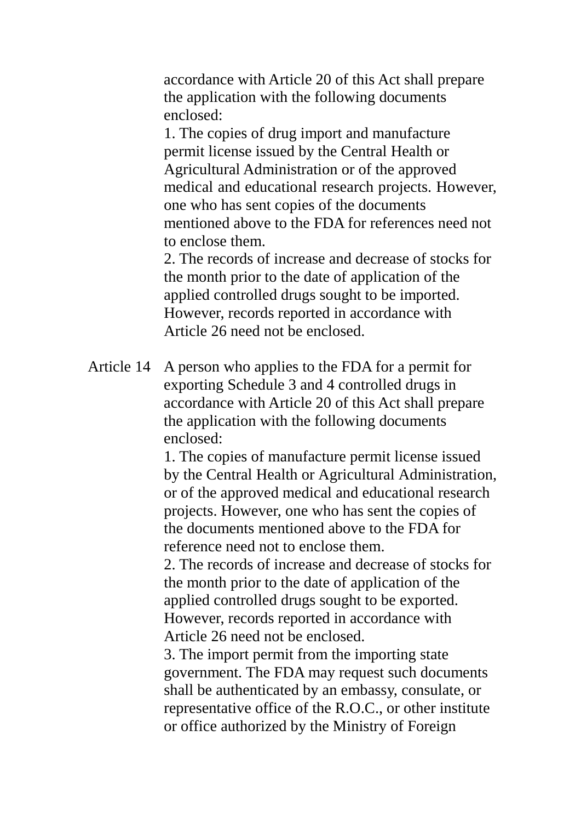accordance with Article 20 of this Act shall prepare the application with the following documents enclosed:

1. The copies of drug import and manufacture permit license issued by the Central Health or Agricultural Administration or of the approved medical and educational research projects. However, one who has sent copies of the documents mentioned above to the FDA for references need not to enclose them.

2. The records of increase and decrease of stocks for the month prior to the date of application of the applied controlled drugs sought to be imported. However, records reported in accordance with Article 26 need not be enclosed.

Article 14 A person who applies to the FDA for a permit for exporting Schedule 3 and 4 controlled drugs in accordance with Article 20 of this Act shall prepare the application with the following documents enclosed:

> 1. The copies of manufacture permit license issued by the Central Health or Agricultural Administration, or of the approved medical and educational research projects. However, one who has sent the copies of the documents mentioned above to the FDA for reference need not to enclose them.

2. The records of increase and decrease of stocks for the month prior to the date of application of the applied controlled drugs sought to be exported. However, records reported in accordance with Article 26 need not be enclosed.

3. The import permit from the importing state government. The FDA may request such documents shall be authenticated by an embassy, consulate, or representative office of the R.O.C., or other institute or office authorized by the Ministry of Foreign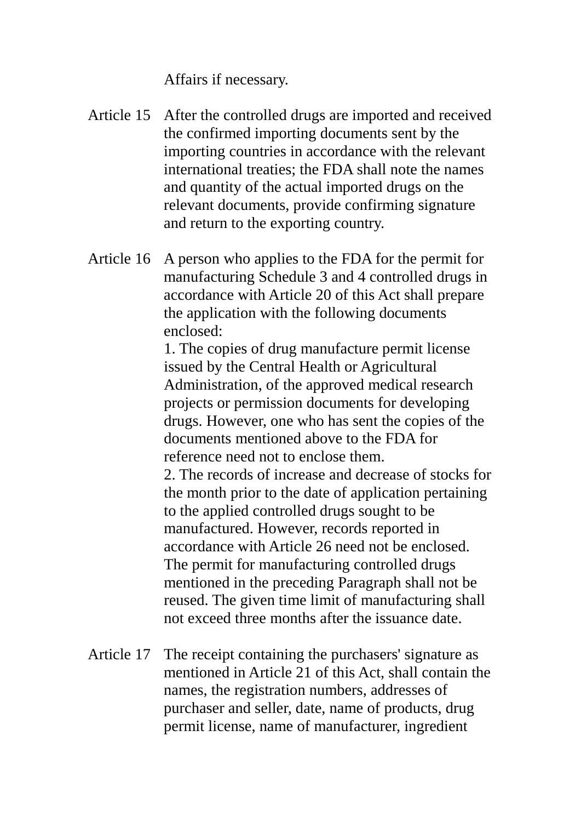Affairs if necessary.

- Article 15 After the controlled drugs are imported and received the confirmed importing documents sent by the importing countries in accordance with the relevant international treaties; the FDA shall note the names and quantity of the actual imported drugs on the relevant documents, provide confirming signature and return to the exporting country.
- Article 16 A person who applies to the FDA for the permit for manufacturing Schedule 3 and 4 controlled drugs in accordance with Article 20 of this Act shall prepare the application with the following documents enclosed:

1. The copies of drug manufacture permit license issued by the Central Health or Agricultural Administration, of the approved medical research projects or permission documents for developing drugs. However, one who has sent the copies of the documents mentioned above to the FDA for reference need not to enclose them.

2. The records of increase and decrease of stocks for the month prior to the date of application pertaining to the applied controlled drugs sought to be manufactured. However, records reported in accordance with Article 26 need not be enclosed. The permit for manufacturing controlled drugs mentioned in the preceding Paragraph shall not be reused. The given time limit of manufacturing shall not exceed three months after the issuance date.

Article 17 The receipt containing the purchasers' signature as mentioned in Article 21 of this Act, shall contain the names, the registration numbers, addresses of purchaser and seller, date, name of products, drug permit license, name of manufacturer, ingredient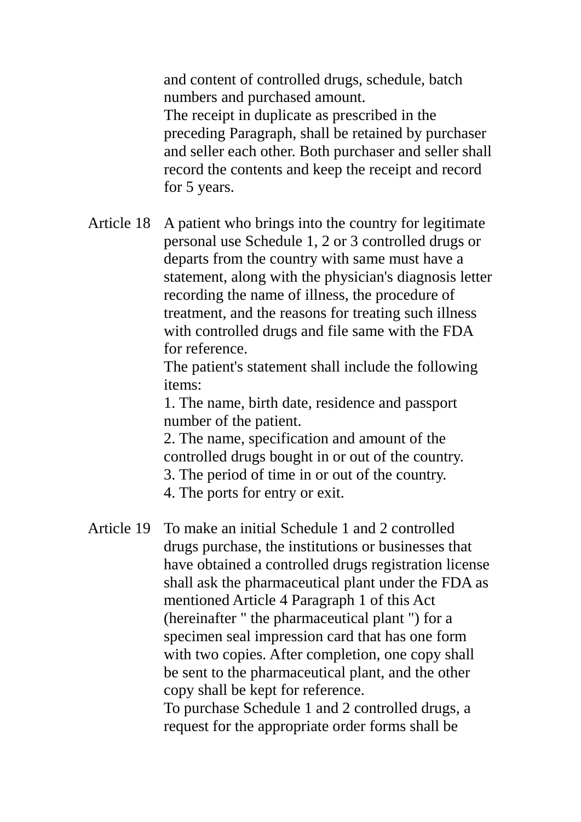and content of controlled drugs, schedule, batch numbers and purchased amount. The receipt in duplicate as prescribed in the preceding Paragraph, shall be retained by purchaser and seller each other. Both purchaser and seller shall record the contents and keep the receipt and record for 5 years.

Article 18 A patient who brings into the country for legitimate personal use Schedule 1, 2 or 3 controlled drugs or departs from the country with same must have a statement, along with the physician's diagnosis letter recording the name of illness, the procedure of treatment, and the reasons for treating such illness with controlled drugs and file same with the FDA for reference.

> The patient's statement shall include the following items:

1. The name, birth date, residence and passport number of the patient.

2. The name, specification and amount of the controlled drugs bought in or out of the country. 3. The period of time in or out of the country. 4. The ports for entry or exit.

Article 19 To make an initial Schedule 1 and 2 controlled drugs purchase, the institutions or businesses that have obtained a controlled drugs registration license shall ask the pharmaceutical plant under the FDA as mentioned Article 4 Paragraph 1 of this Act (hereinafter " the pharmaceutical plant ") for a specimen seal impression card that has one form with two copies. After completion, one copy shall be sent to the pharmaceutical plant, and the other copy shall be kept for reference. To purchase Schedule 1 and 2 controlled drugs, a request for the appropriate order forms shall be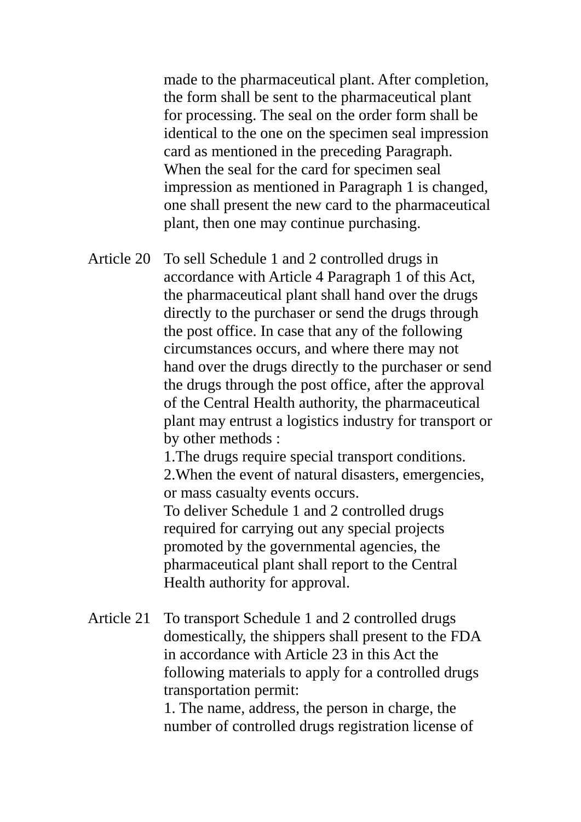made to the pharmaceutical plant. After completion, the form shall be sent to the pharmaceutical plant for processing. The seal on the order form shall be identical to the one on the specimen seal impression card as mentioned in the preceding Paragraph. When the seal for the card for specimen seal impression as mentioned in Paragraph 1 is changed, one shall present the new card to the pharmaceutical plant, then one may continue purchasing.

Article 20 To sell Schedule 1 and 2 controlled drugs in accordance with Article 4 Paragraph 1 of this Act, the pharmaceutical plant shall hand over the drugs directly to the purchaser or send the drugs through the post office. In case that any of the following circumstances occurs, and where there may not hand over the drugs directly to the purchaser or send the drugs through the post office, after the approval of the Central Health authority, the pharmaceutical plant may entrust a logistics industry for transport or by other methods :

> 1.The drugs require special transport conditions. 2.When the event of natural disasters, emergencies, or mass casualty events occurs.

To deliver Schedule 1 and 2 controlled drugs required for carrying out any special projects promoted by the governmental agencies, the pharmaceutical plant shall report to the Central Health authority for approval.

Article 21 To transport Schedule 1 and 2 controlled drugs domestically, the shippers shall present to the FDA in accordance with Article 23 in this Act the following materials to apply for a controlled drugs transportation permit:

> 1. The name, address, the person in charge, the number of controlled drugs registration license of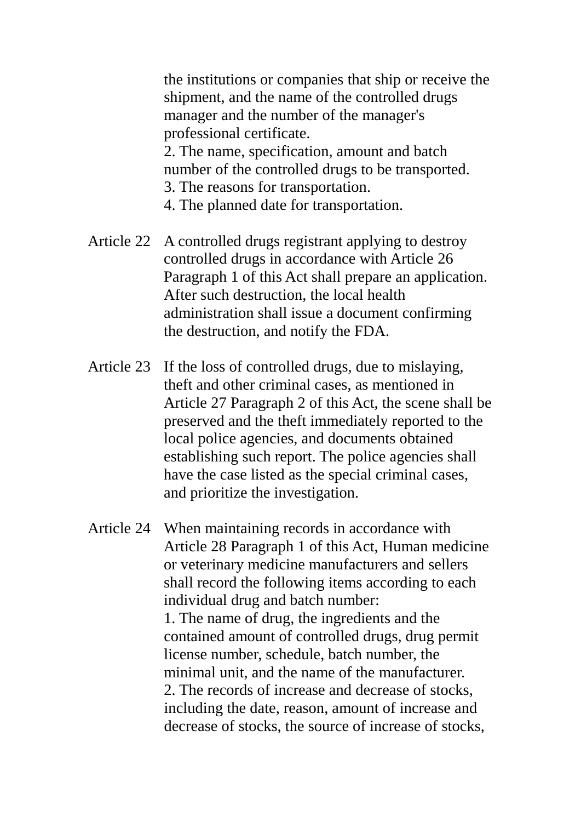the institutions or companies that ship or receive the shipment, and the name of the controlled drugs manager and the number of the manager's professional certificate. 2. The name, specification, amount and batch number of the controlled drugs to be transported.

- 3. The reasons for transportation.
- 4. The planned date for transportation.
- Article 22 A controlled drugs registrant applying to destroy controlled drugs in accordance with Article 26 Paragraph 1 of this Act shall prepare an application. After such destruction, the local health administration shall issue a document confirming the destruction, and notify the FDA.
- Article 23 If the loss of controlled drugs, due to mislaying, theft and other criminal cases, as mentioned in Article 27 Paragraph 2 of this Act, the scene shall be preserved and the theft immediately reported to the local police agencies, and documents obtained establishing such report. The police agencies shall have the case listed as the special criminal cases, and prioritize the investigation.
- Article 24 When maintaining records in accordance with Article 28 Paragraph 1 of this Act, Human medicine or veterinary medicine manufacturers and sellers shall record the following items according to each individual drug and batch number: 1. The name of drug, the ingredients and the contained amount of controlled drugs, drug permit license number, schedule, batch number, the minimal unit, and the name of the manufacturer. 2. The records of increase and decrease of stocks, including the date, reason, amount of increase and decrease of stocks, the source of increase of stocks,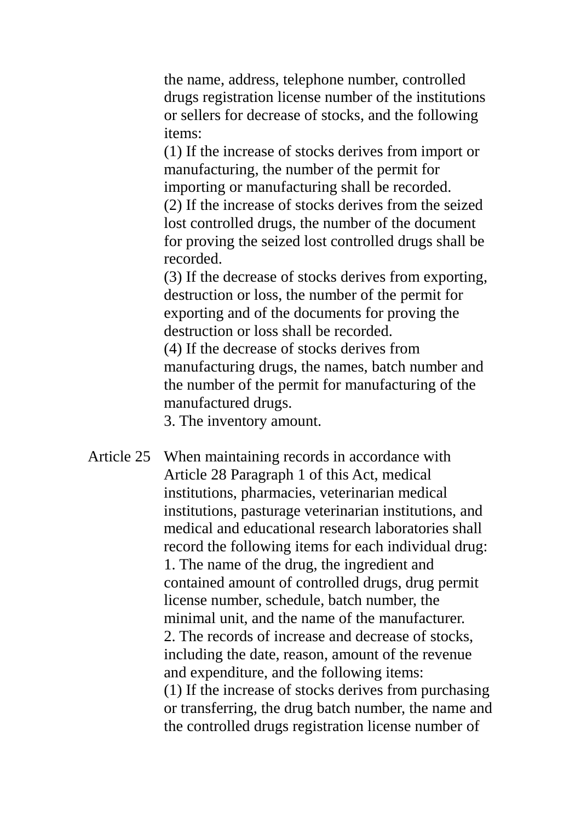the name, address, telephone number, controlled drugs registration license number of the institutions or sellers for decrease of stocks, and the following items:

(1) If the increase of stocks derives from import or manufacturing, the number of the permit for importing or manufacturing shall be recorded. (2) If the increase of stocks derives from the seized lost controlled drugs, the number of the document for proving the seized lost controlled drugs shall be recorded.

(3) If the decrease of stocks derives from exporting, destruction or loss, the number of the permit for exporting and of the documents for proving the destruction or loss shall be recorded.

(4) If the decrease of stocks derives from manufacturing drugs, the names, batch number and the number of the permit for manufacturing of the manufactured drugs.

3. The inventory amount.

Article 25 When maintaining records in accordance with Article 28 Paragraph 1 of this Act, medical institutions, pharmacies, veterinarian medical institutions, pasturage veterinarian institutions, and medical and educational research laboratories shall record the following items for each individual drug: 1. The name of the drug, the ingredient and contained amount of controlled drugs, drug permit license number, schedule, batch number, the minimal unit, and the name of the manufacturer. 2. The records of increase and decrease of stocks, including the date, reason, amount of the revenue and expenditure, and the following items: (1) If the increase of stocks derives from purchasing or transferring, the drug batch number, the name and the controlled drugs registration license number of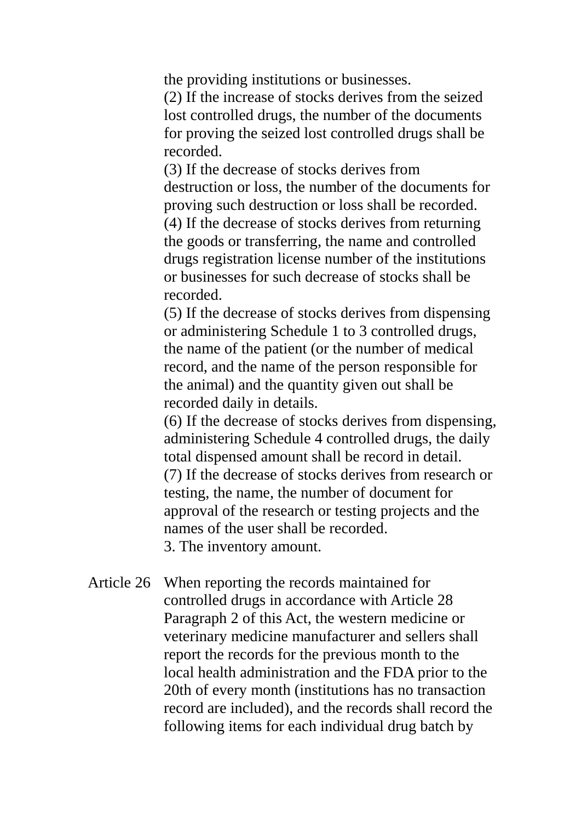the providing institutions or businesses.

(2) If the increase of stocks derives from the seized lost controlled drugs, the number of the documents for proving the seized lost controlled drugs shall be recorded.

(3) If the decrease of stocks derives from destruction or loss, the number of the documents for proving such destruction or loss shall be recorded. (4) If the decrease of stocks derives from returning the goods or transferring, the name and controlled drugs registration license number of the institutions or businesses for such decrease of stocks shall be recorded.

(5) If the decrease of stocks derives from dispensing or administering Schedule 1 to 3 controlled drugs, the name of the patient (or the number of medical record, and the name of the person responsible for the animal) and the quantity given out shall be recorded daily in details.

(6) If the decrease of stocks derives from dispensing, administering Schedule 4 controlled drugs, the daily total dispensed amount shall be record in detail. (7) If the decrease of stocks derives from research or testing, the name, the number of document for approval of the research or testing projects and the names of the user shall be recorded. 3. The inventory amount.

Article 26 When reporting the records maintained for controlled drugs in accordance with Article 28 Paragraph 2 of this Act, the western medicine or veterinary medicine manufacturer and sellers shall report the records for the previous month to the local health administration and the FDA prior to the 20th of every month (institutions has no transaction record are included), and the records shall record the following items for each individual drug batch by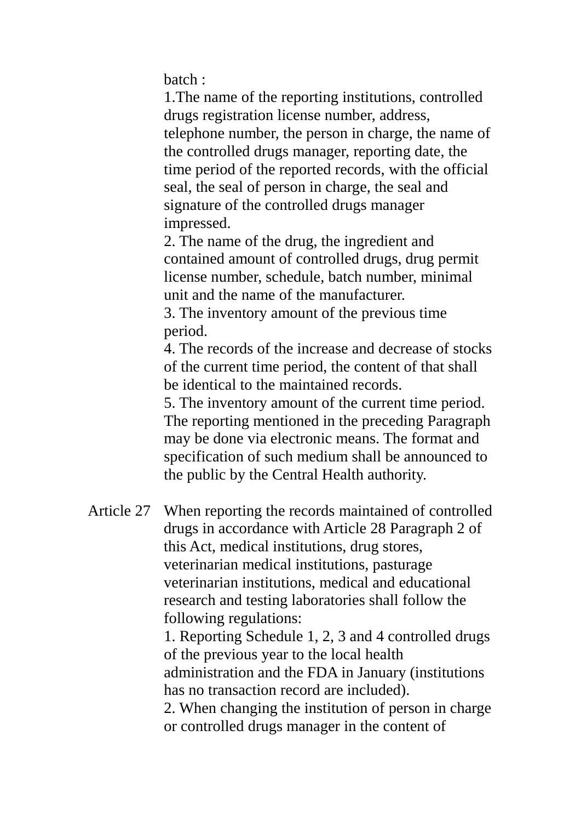batch :

1.The name of the reporting institutions, controlled drugs registration license number, address, telephone number, the person in charge, the name of the controlled drugs manager, reporting date, the time period of the reported records, with the official seal, the seal of person in charge, the seal and signature of the controlled drugs manager impressed.

2. The name of the drug, the ingredient and contained amount of controlled drugs, drug permit license number, schedule, batch number, minimal unit and the name of the manufacturer.

3. The inventory amount of the previous time period.

4. The records of the increase and decrease of stocks of the current time period, the content of that shall be identical to the maintained records.

5. The inventory amount of the current time period. The reporting mentioned in the preceding Paragraph may be done via electronic means. The format and specification of such medium shall be announced to the public by the Central Health authority.

Article 27 When reporting the records maintained of controlled drugs in accordance with Article 28 Paragraph 2 of this Act, medical institutions, drug stores, veterinarian medical institutions, pasturage veterinarian institutions, medical and educational research and testing laboratories shall follow the following regulations:

> 1. Reporting Schedule 1, 2, 3 and 4 controlled drugs of the previous year to the local health administration and the FDA in January (institutions has no transaction record are included).

> 2. When changing the institution of person in charge or controlled drugs manager in the content of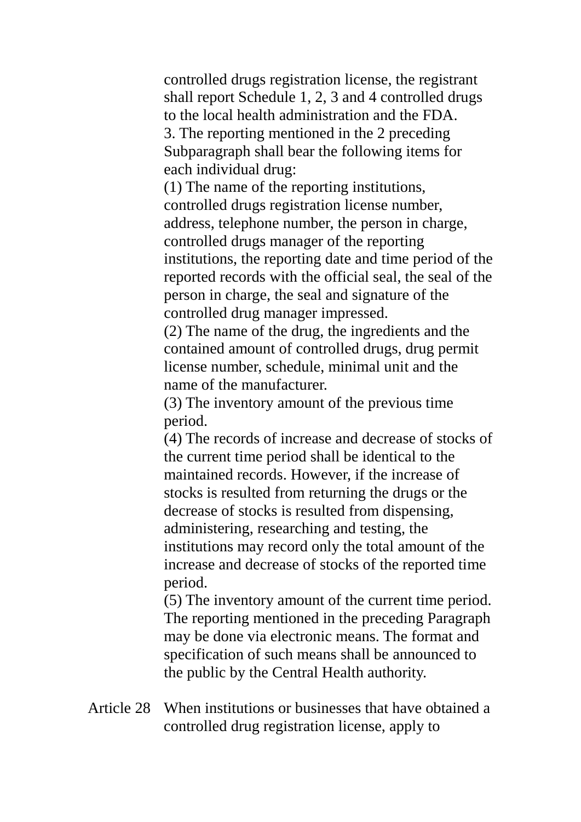controlled drugs registration license, the registrant shall report Schedule 1, 2, 3 and 4 controlled drugs to the local health administration and the FDA. 3. The reporting mentioned in the 2 preceding Subparagraph shall bear the following items for each individual drug:

(1) The name of the reporting institutions, controlled drugs registration license number, address, telephone number, the person in charge, controlled drugs manager of the reporting institutions, the reporting date and time period of the reported records with the official seal, the seal of the person in charge, the seal and signature of the controlled drug manager impressed.

(2) The name of the drug, the ingredients and the contained amount of controlled drugs, drug permit license number, schedule, minimal unit and the name of the manufacturer.

(3) The inventory amount of the previous time period.

(4) The records of increase and decrease of stocks of the current time period shall be identical to the maintained records. However, if the increase of stocks is resulted from returning the drugs or the decrease of stocks is resulted from dispensing, administering, researching and testing, the institutions may record only the total amount of the increase and decrease of stocks of the reported time period.

(5) The inventory amount of the current time period. The reporting mentioned in the preceding Paragraph may be done via electronic means. The format and specification of such means shall be announced to the public by the Central Health authority.

Article 28 When institutions or businesses that have obtained a controlled drug registration license, apply to